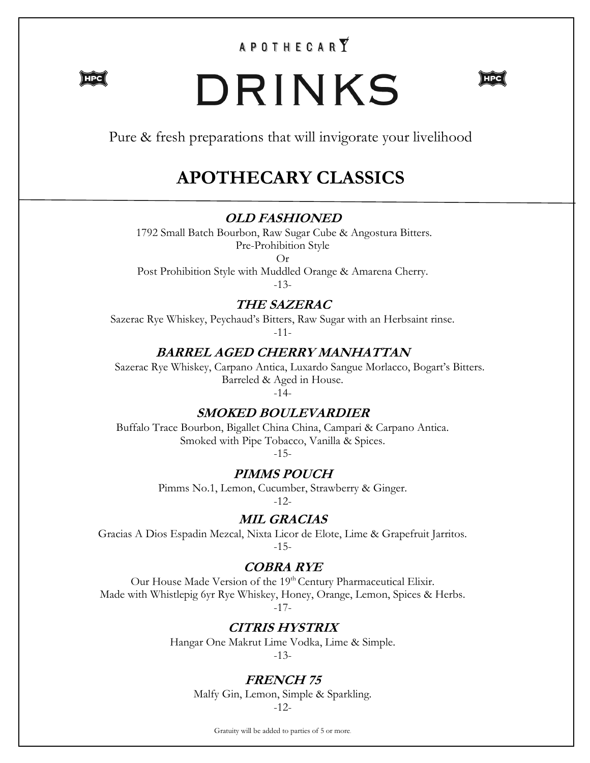## $\begin{matrix} \mathsf{A} & \mathsf{P} & \mathsf{O} & \mathsf{T} & \mathsf{H} & \mathsf{E} & \mathsf{C} & \mathsf{A} & \mathsf{R} & \widetilde{\mathbf{Y}} \end{matrix}$



# DRINKS



Pure & fresh preparations that will invigorate your livelihood

# **APOTHECARY CLASSICS**

### **OLD FASHIONED**

1792 Small Batch Bourbon, Raw Sugar Cube & Angostura Bitters. Pre-Prohibition Style

Or

Post Prohibition Style with Muddled Orange & Amarena Cherry. -13-

**THE SAZERAC**

Sazerac Rye Whiskey, Peychaud's Bitters, Raw Sugar with an Herbsaint rinse. -11-

### **BARREL AGED CHERRY MANHATTAN**

Sazerac Rye Whiskey, Carpano Antica, Luxardo Sangue Morlacco, Bogart's Bitters. Barreled & Aged in House.

-14-

### **SMOKED BOULEVARDIER**

Buffalo Trace Bourbon, Bigallet China China, Campari & Carpano Antica. Smoked with Pipe Tobacco, Vanilla & Spices. -15-

### **PIMMS POUCH**

Pimms No.1, Lemon, Cucumber, Strawberry & Ginger.

-12-

### **MIL GRACIAS**

Gracias A Dios Espadin Mezcal, Nixta Licor de Elote, Lime & Grapefruit Jarritos. -15-

### **COBRA RYE**

Our House Made Version of the 19th Century Pharmaceutical Elixir. Made with Whistlepig 6yr Rye Whiskey, Honey, Orange, Lemon, Spices & Herbs. -17-

### **CITRIS HYSTRIX**

Hangar One Makrut Lime Vodka, Lime & Simple. -13-

### **FRENCH 75**

Malfy Gin, Lemon, Simple & Sparkling. -12-

Gratuity will be added to parties of 5 or more.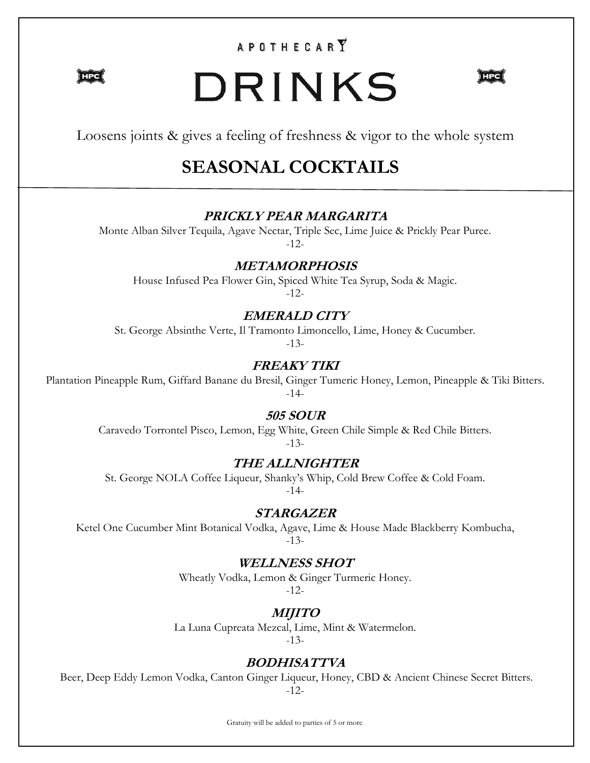### **APOTHECARY**

 $\rangle$  HPC  $\langle$ 

# DRINKS



Loosens joints & gives a feeling of freshness & vigor to the whole system

# **SEASONAL COCKTAILS**

### **PRICKLY PEAR MARGARITA**

Monte Alban Silver Tequila, Agave Nectar, Triple Sec, Lime Juice & Prickly Pear Puree. -12-

### **METAMORPHOSIS**

House Infused Pea Flower Gin, Spiced White Tea Syrup, Soda & Magic. -12-

### **EMERALD CITY**

St. George Absinthe Verte, Il Tramonto Limoncello, Lime, Honey & Cucumber.

-13-

### **FREAKY TIKI**

Plantation Pineapple Rum, Giffard Banane du Bresil, Ginger Tumeric Honey, Lemon, Pineapple & Tiki Bitters. -14-

### **505 SOUR**

Caravedo Torrontel Pisco, Lemon, Egg White, Green Chile Simple & Red Chile Bitters. -13-

### **THE ALLNIGHTER**

St. George NOLA Coffee Liqueur, Shanky's Whip, Cold Brew Coffee & Cold Foam. -14-

### **STARGAZER**

Ketel One Cucumber Mint Botanical Vodka, Agave, Lime & House Made Blackberry Kombucha, -13-

### **WELLNESS SHOT**

Wheatly Vodka, Lemon & Ginger Turmeric Honey. -12-

### **MIJITO**

La Luna Cupreata Mezcal, Lime, Mint & Watermelon. -13-

### **BODHISATTVA**

Beer, Deep Eddy Lemon Vodka, Canton Ginger Liqueur, Honey, CBD & Ancient Chinese Secret Bitters. -12-

Gratuity will be added to parties of 5 or more.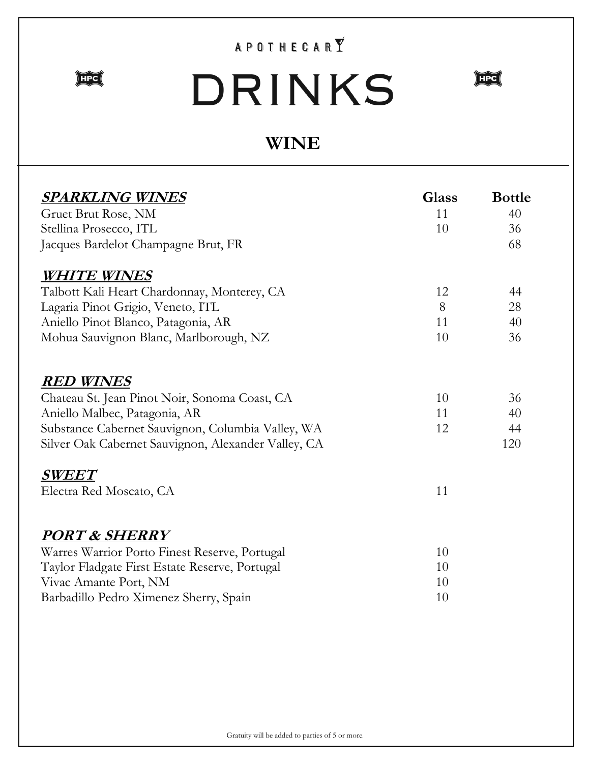## $\begin{matrix} \mathsf{A} & \mathsf{P} & \mathsf{O} & \mathsf{T} & \mathsf{H} & \mathsf{E} & \mathsf{C} & \mathsf{A} & \mathsf{R} & \widetilde{\mathbf{Y}} \end{matrix}$



# DRINKS



# **WINE**

| <b>SPARKLING WINES</b>                                            | <b>Glass</b> | <b>Bottle</b> |
|-------------------------------------------------------------------|--------------|---------------|
| Gruet Brut Rose, NM                                               | 11           | 40            |
| Stellina Prosecco, ITL                                            | 10           | 36            |
| Jacques Bardelot Champagne Brut, FR                               |              | 68            |
| <b>WHITE WINES</b>                                                |              |               |
| Talbott Kali Heart Chardonnay, Monterey, CA                       | 12           | 44            |
| Lagaria Pinot Grigio, Veneto, ITL                                 | 8            | 28            |
| Aniello Pinot Blanco, Patagonia, AR                               | 11           | 40            |
| Mohua Sauvignon Blanc, Marlborough, NZ                            | 10           | 36            |
| <b>RED WINES</b><br>Chateau St. Jean Pinot Noir, Sonoma Coast, CA | 10           | 36            |
| Aniello Malbec, Patagonia, AR                                     | 11           | 40            |
| Substance Cabernet Sauvignon, Columbia Valley, WA                 | 12           | 44            |
| Silver Oak Cabernet Sauvignon, Alexander Valley, CA               |              | 120           |
| <b>SWEET</b>                                                      |              |               |
| Electra Red Moscato, CA                                           | 11           |               |
| <u>PORT &amp; SHERRY</u>                                          |              |               |
| Warres Warrior Porto Finest Reserve, Portugal                     | 10           |               |
| Taylor Fladgate First Estate Reserve, Portugal                    | 10           |               |
| Vivac Amante Port, NM                                             | 10           |               |
| Barbadillo Pedro Ximenez Sherry, Spain                            | 10           |               |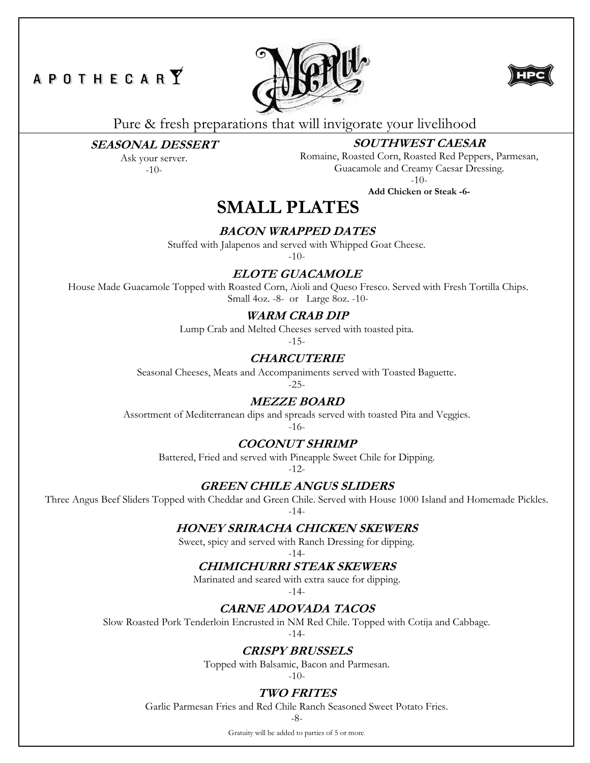### **APOTHECARY**





Pure & fresh preparations that will invigorate your livelihood

### **SEASONAL DESSERT**

Ask your server. -10-

### **SOUTHWEST CAESAR**

Romaine, Roasted Corn, Roasted Red Peppers, Parmesan, Guacamole and Creamy Caesar Dressing. -10-

**Add Chicken or Steak -6-**

### **SMALL PLATES**

### **BACON WRAPPED DATES**

Stuffed with Jalapenos and served with Whipped Goat Cheese.

 $-10-$ 

### **ELOTE GUACAMOLE**

House Made Guacamole Topped with Roasted Corn, Aioli and Queso Fresco. Served with Fresh Tortilla Chips. Small 4oz. -8- or Large 8oz. -10-

### **WARM CRAB DIP**

Lump Crab and Melted Cheeses served with toasted pita.

-15-

### **CHARCUTERIE**

Seasonal Cheeses, Meats and Accompaniments served with Toasted Baguette.

-25-

### **MEZZE BOARD**

Assortment of Mediterranean dips and spreads served with toasted Pita and Veggies.

-16-

### **COCONUT SHRIMP**

Battered, Fried and served with Pineapple Sweet Chile for Dipping.

-12-

### **GREEN CHILE ANGUS SLIDERS**

Three Angus Beef Sliders Topped with Cheddar and Green Chile. Served with House 1000 Island and Homemade Pickles. -14-

### **HONEY SRIRACHA CHICKEN SKEWERS**

Sweet, spicy and served with Ranch Dressing for dipping.

#### -14- **CHIMICHURRI STEAK SKEWERS**

Marinated and seared with extra sauce for dipping.

-14-

### **CARNE ADOVADA TACOS**

Slow Roasted Pork Tenderloin Encrusted in NM Red Chile. Topped with Cotija and Cabbage.

-14-

### **CRISPY BRUSSELS**

Topped with Balsamic, Bacon and Parmesan.

-10-

### **TWO FRITES**

Garlic Parmesan Fries and Red Chile Ranch Seasoned Sweet Potato Fries.

-8-

Gratuity will be added to parties of 5 or more.